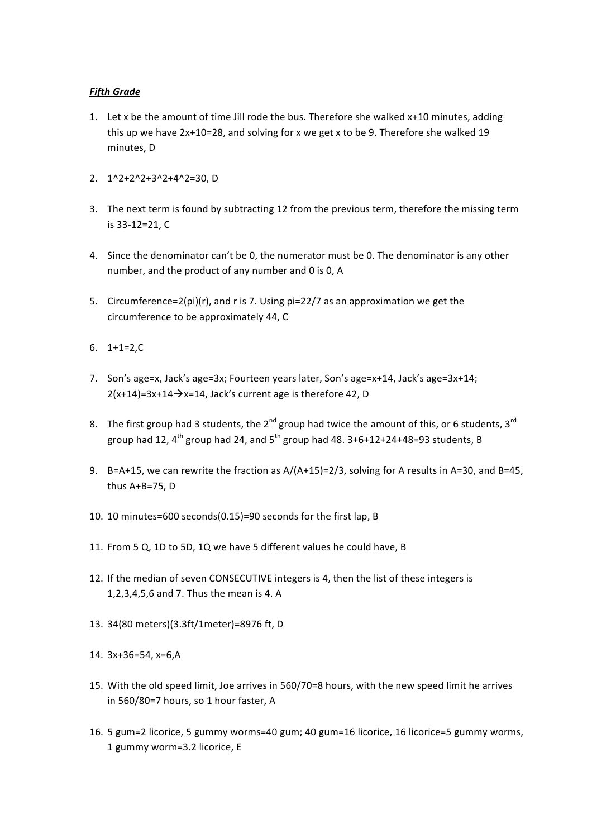## *Fifth
Grade*

- 1. Let
x
be
the
amount
of
time
Jill
rode
the
bus.
Therefore
she
walked
x+10
minutes,
adding this up we have  $2x+10=28$ , and solving for x we get x to be 9. Therefore she walked 19 minutes,
D
- 2. 1^2+2^2+3^2+4^2=30,
D
- 3. The
next
term
is
found
by
subtracting
12
from
the
previous
term,
therefore
the
missing
term is
33‐12=21,
C
- 4. Since
the
denominator
can't
be
0,
the
numerator
must
be
0.
The
denominator
is
any
other number,
and
the
product
of
any
number
and
0
is
0,
A
- 5. Circumference= $2(pi)(r)$ , and r is 7. Using  $pi=22/7$  as an approximation we get the circumference
to
be
approximately
44,
C
- 6. 1+1=2,C
- 7. Son's age=x, Jack's age=3x; Fourteen years later, Son's age=x+14, Jack's age=3x+14;  $2(x+14)=3x+14 \rightarrow x=14$ , Jack's current age is therefore 42, D
- 8. The first group had 3 students, the 2<sup>nd</sup> group had twice the amount of this, or 6 students, 3<sup>rd</sup> group had 12,  $4^{th}$  group had 24, and  $5^{th}$  group had 48.  $3+6+12+24+48=93$  students, B
- 9. B=A+15, we can rewrite the fraction as A/(A+15)=2/3, solving for A results in A=30, and B=45, thus
A+B=75,
D
- 10. 10
minutes=600
seconds(0.15)=90
seconds
for
the
first
lap,
B
- 11. From
5
Q,
1D
to
5D,
1Q
we
have
5
different
values
he
could
have,
B
- 12. If the median of seven CONSECUTIVE integers is 4, then the list of these integers is 1,2,3,4,5,6
and
7.
Thus
the
mean
is
4.
A
- 13. 34(80
meters)(3.3ft/1meter)=8976
ft,
D
- 14. 3x+36=54,
x=6,A
- 15. With
the
old
speed
limit,
Joe
arrives
in
560/70=8
hours,
with
the
new
speed
limit
he
arrives in
560/80=7
hours,
so
1
hour
faster,
A
- 16. 5 gum=2 licorice, 5 gummy worms=40 gum; 40 gum=16 licorice, 16 licorice=5 gummy worms, 1
gummy
worm=3.2
licorice,
E